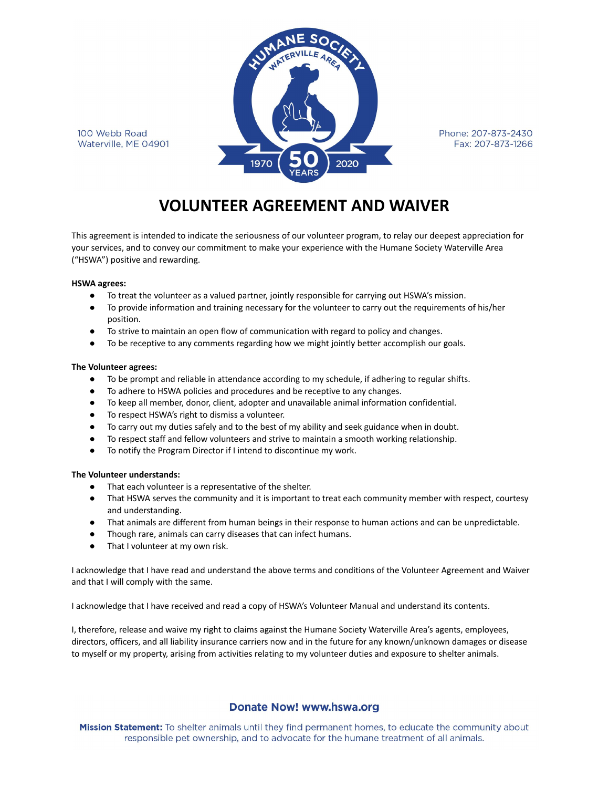100 Webb Road Waterville, ME 04901



Phone: 207-873-2430 Fax: 207-873-1266

# **VOLUNTEER AGREEMENT AND WAIVER**

This agreement is intended to indicate the seriousness of our volunteer program, to relay our deepest appreciation for your services, and to convey our commitment to make your experience with the Humane Society Waterville Area ("HSWA") positive and rewarding.

#### **HSWA agrees:**

- To treat the volunteer as a valued partner, jointly responsible for carrying out HSWA's mission.
- To provide information and training necessary for the volunteer to carry out the requirements of his/her position.
- To strive to maintain an open flow of communication with regard to policy and changes.
- To be receptive to any comments regarding how we might jointly better accomplish our goals.

#### **The Volunteer agrees:**

- To be prompt and reliable in attendance according to my schedule, if adhering to regular shifts.
- To adhere to HSWA policies and procedures and be receptive to any changes.
- To keep all member, donor, client, adopter and unavailable animal information confidential.
- To respect HSWA's right to dismiss a volunteer.
- To carry out my duties safely and to the best of my ability and seek guidance when in doubt.
- To respect staff and fellow volunteers and strive to maintain a smooth working relationship.
- To notify the Program Director if I intend to discontinue my work.

#### **The Volunteer understands:**

- That each volunteer is a representative of the shelter.
- That HSWA serves the community and it is important to treat each community member with respect, courtesy and understanding.
- That animals are different from human beings in their response to human actions and can be unpredictable.
- Though rare, animals can carry diseases that can infect humans.
- That I volunteer at my own risk.

I acknowledge that I have read and understand the above terms and conditions of the Volunteer Agreement and Waiver and that I will comply with the same.

I acknowledge that I have received and read a copy of HSWA's Volunteer Manual and understand its contents.

I, therefore, release and waive my right to claims against the Humane Society Waterville Area's agents, employees, directors, officers, and all liability insurance carriers now and in the future for any known/unknown damages or disease to myself or my property, arising from activities relating to my volunteer duties and exposure to shelter animals.

### **Donate Now! www.hswa.org**

Mission Statement: To shelter animals until they find permanent homes, to educate the community about responsible pet ownership, and to advocate for the humane treatment of all animals.